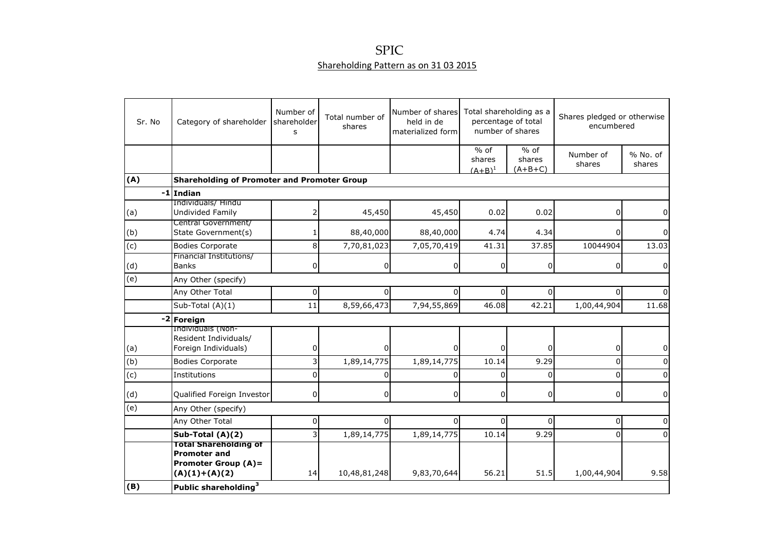## Shareholding Pattern as on 31 03 2015 SPIC

| Sr. No         | Category of shareholder                                                                              | Number of<br>shareholder<br>S | Total number of<br>shares | Number of shares<br>held in de<br>materialized form | Total shareholding as a<br>percentage of total<br>number of shares |                               | Shares pledged or otherwise<br>encumbered |                    |
|----------------|------------------------------------------------------------------------------------------------------|-------------------------------|---------------------------|-----------------------------------------------------|--------------------------------------------------------------------|-------------------------------|-------------------------------------------|--------------------|
|                |                                                                                                      |                               |                           |                                                     | $%$ of<br>shares<br>$(A+B)^1$                                      | $%$ of<br>shares<br>$(A+B+C)$ | Number of<br>shares                       | % No. of<br>shares |
| (A)            | <b>Shareholding of Promoter and Promoter Group</b>                                                   |                               |                           |                                                     |                                                                    |                               |                                           |                    |
| -1             | <b>Indian</b>                                                                                        |                               |                           |                                                     |                                                                    |                               |                                           |                    |
| (a)            | Individuals/ Hindu<br>Undivided Family                                                               |                               | 45,450                    | 45,450                                              | 0.02                                                               | 0.02                          | 0                                         | 0                  |
| (b)            | Central Government/<br>State Government(s)                                                           |                               | 88,40,000                 | 88,40,000                                           | 4.74                                                               | 4.34                          | 0                                         | 0                  |
| $\overline{c}$ | <b>Bodies Corporate</b>                                                                              | 8                             | 7,70,81,023               | 7,05,70,419                                         | 41.31                                                              | 37.85                         | 10044904                                  | 13.03              |
| (d)            | Financial Institutions/<br><b>Banks</b>                                                              | 0                             | 0                         | $\overline{0}$                                      | $\overline{0}$                                                     | 0                             | 0                                         | 0                  |
| (e)            | Any Other (specify)                                                                                  |                               |                           |                                                     |                                                                    |                               |                                           |                    |
|                | Any Other Total                                                                                      | 0                             | 0                         | 0                                                   | $\Omega$                                                           | $\overline{0}$                | 0                                         | $\Omega$           |
|                | Sub-Total (A)(1)                                                                                     | 11                            | 8,59,66,473               | 7,94,55,869                                         | 46.08                                                              | 42.21                         | 1,00,44,904                               | 11.68              |
|                | -2 Foreign                                                                                           |                               |                           |                                                     |                                                                    |                               |                                           |                    |
| (a)            | Individuals (Non-<br>Resident Individuals/<br>Foreign Individuals)                                   | 0                             | 0                         | $\Omega$                                            | 0                                                                  | 0                             | 0                                         | 0                  |
| (b)            | <b>Bodies Corporate</b>                                                                              | $\overline{\mathbf{3}}$       | 1,89,14,775               | 1,89,14,775                                         | 10.14                                                              | 9.29                          | 0                                         | $\mathbf{0}$       |
| (c)            | Institutions                                                                                         | $\Omega$                      | 0                         | $\Omega$                                            | $\Omega$                                                           | 0                             | 0                                         | $\overline{0}$     |
| (d)            | Qualified Foreign Investor                                                                           | $\overline{0}$                | 0                         | $\overline{0}$                                      | 0                                                                  | $\overline{0}$                | $\overline{0}$                            | $\overline{0}$     |
| (e)            | Any Other (specify)                                                                                  |                               |                           |                                                     |                                                                    |                               |                                           |                    |
|                | Any Other Total                                                                                      | $\overline{0}$                | $\Omega$                  | $\Omega$                                            | $\Omega$                                                           | $\Omega$                      | 0                                         | $\mathbf{0}$       |
|                | Sub-Total (A)(2)                                                                                     | $\mathsf{B}$                  | 1,89,14,775               | 1,89,14,775                                         | 10.14                                                              | 9.29                          | 0                                         | $\Omega$           |
|                | <b>Total Shareholding of</b><br><b>Promoter and</b><br><b>Promoter Group (A)=</b><br>$(A)(1)+(A)(2)$ | 14                            | 10,48,81,248              | 9,83,70,644                                         | 56.21                                                              | 51.5                          | 1,00,44,904                               | 9.58               |
| (B)            | Public shareholding <sup>3</sup>                                                                     |                               |                           |                                                     |                                                                    |                               |                                           |                    |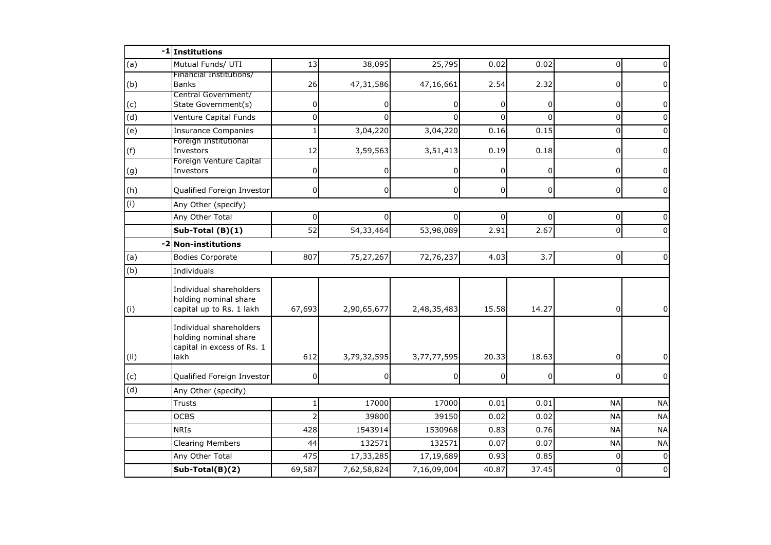|                | -1 Institutions                                                                        |                |                |                |          |                |                |           |
|----------------|----------------------------------------------------------------------------------------|----------------|----------------|----------------|----------|----------------|----------------|-----------|
| (a)            | Mutual Funds/ UTI                                                                      | 13             | 38,095         | 25,795         | 0.02     | 0.02           | $\Omega$       |           |
| (b)            | Financial Institutions/<br><b>Banks</b>                                                | 26             | 47,31,586      | 47,16,661      | 2.54     | 2.32           | 0              |           |
| (c)            | Central Government/<br>State Government(s)                                             | 0              | 0              | 0              | $\Omega$ | $\overline{0}$ | 0              | 0         |
| $\overline{d}$ | Venture Capital Funds                                                                  | $\Omega$       | $\Omega$       | $\Omega$       | ΩI       | $\Omega$       | 0              | U         |
| (e)            | <b>Insurance Companies</b>                                                             | $\mathbf{1}$   | 3,04,220       | 3,04,220       | 0.16     | 0.15           | $\mathbf 0$    |           |
| (f)            | Foreign Institutional<br>Investors                                                     | 12             | 3,59,563       | 3,51,413       | 0.19     | 0.18           | 0              | 0         |
| (g)            | Foreign Venture Capital<br>Investors                                                   | 0              |                | 0              | 0        | $\overline{0}$ | 0              | 0         |
| (h)            | Qualified Foreign Investor                                                             | $\mathbf 0$    | $\overline{0}$ | $\overline{0}$ | 0        | $\overline{0}$ | $\overline{0}$ | 0         |
| (i)            | Any Other (specify)                                                                    |                |                |                |          |                |                |           |
|                | Any Other Total                                                                        | 0              |                | 0              | 0l       | $\Omega$       | 0              |           |
|                | Sub-Total (B)(1)                                                                       | 52             | 54,33,464      | 53,98,089      | 2.91     | 2.67           | $\mathbf 0$    |           |
|                | $-2$<br><b>Non-institutions</b>                                                        |                |                |                |          |                |                |           |
| (a)            | <b>Bodies Corporate</b>                                                                | 807            | 75,27,267      | 72,76,237      | 4.03     | 3.7            | $\overline{0}$ | $\Omega$  |
| (b)            | Individuals                                                                            |                |                |                |          |                |                |           |
| (i)            | Individual shareholders<br>holding nominal share<br>capital up to Rs. 1 lakh           | 67,693         | 2,90,65,677    | 2,48,35,483    | 15.58    | 14.27          | $\overline{0}$ | 0         |
| (i)            | Individual shareholders<br>holding nominal share<br>capital in excess of Rs. 1<br>lakh | 612            | 3,79,32,595    | 3,77,77,595    | 20.33    | 18.63          | 0              |           |
| (c)            | Qualified Foreign Investor                                                             | 0              | 0              | 0              | 0        | $\overline{0}$ | 0              | $\Omega$  |
| (d)            | Any Other (specify)                                                                    |                |                |                |          |                |                |           |
|                | <b>Trusts</b>                                                                          |                | 17000          | 17000          | 0.01     | 0.01           | <b>NA</b>      | <b>NA</b> |
|                | <b>OCBS</b>                                                                            | $\overline{2}$ | 39800          | 39150          | 0.02     | 0.02           | <b>NA</b>      | <b>NA</b> |
|                | <b>NRIS</b>                                                                            | 428            | 1543914        | 1530968        | 0.83     | 0.76           | <b>NA</b>      | <b>NA</b> |
|                | <b>Clearing Members</b>                                                                | 44             | 132571         | 132571         | 0.07     | 0.07           | <b>NA</b>      | <b>NA</b> |
|                | Any Other Total                                                                        | 475            | 17,33,285      | 17,19,689      | 0.93     | 0.85           | $\Omega$       | $\Omega$  |
|                | Sub-Total(B)(2)                                                                        | 69,587         | 7,62,58,824    | 7,16,09,004    | 40.87    | 37.45          | $\Omega$       | $\Omega$  |